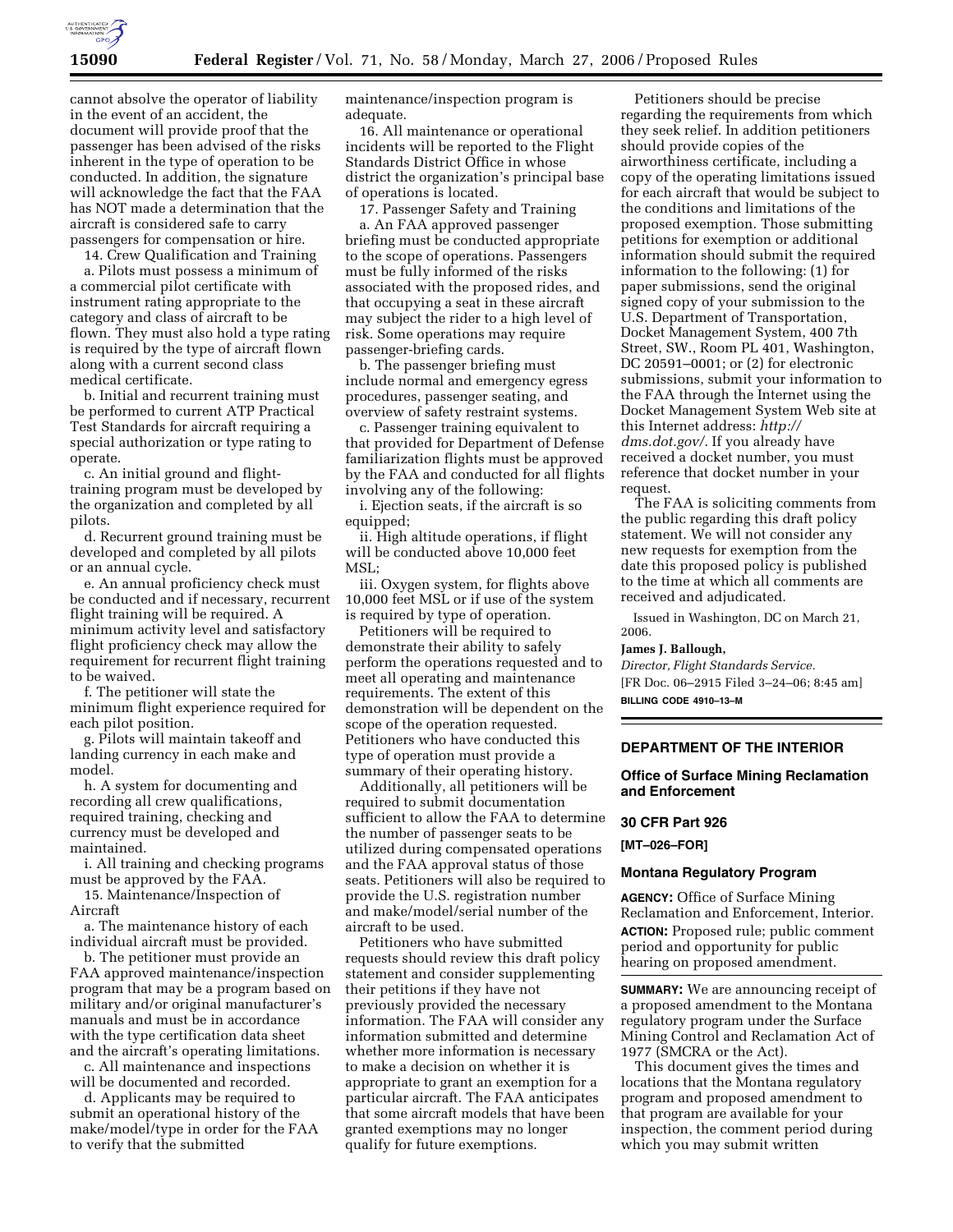

cannot absolve the operator of liability in the event of an accident, the document will provide proof that the passenger has been advised of the risks inherent in the type of operation to be conducted. In addition, the signature will acknowledge the fact that the FAA has NOT made a determination that the aircraft is considered safe to carry passengers for compensation or hire.

14. Crew Qualification and Training

a. Pilots must possess a minimum of a commercial pilot certificate with instrument rating appropriate to the category and class of aircraft to be flown. They must also hold a type rating is required by the type of aircraft flown along with a current second class medical certificate.

b. Initial and recurrent training must be performed to current ATP Practical Test Standards for aircraft requiring a special authorization or type rating to operate.

c. An initial ground and flighttraining program must be developed by the organization and completed by all pilots.

d. Recurrent ground training must be developed and completed by all pilots or an annual cycle.

e. An annual proficiency check must be conducted and if necessary, recurrent flight training will be required. A minimum activity level and satisfactory flight proficiency check may allow the requirement for recurrent flight training to be waived.

f. The petitioner will state the minimum flight experience required for each pilot position.

g. Pilots will maintain takeoff and landing currency in each make and model.

h. A system for documenting and recording all crew qualifications, required training, checking and currency must be developed and maintained.

i. All training and checking programs must be approved by the FAA.

15. Maintenance/Inspection of Aircraft

a. The maintenance history of each individual aircraft must be provided.

b. The petitioner must provide an FAA approved maintenance/inspection program that may be a program based on military and/or original manufacturer's manuals and must be in accordance with the type certification data sheet and the aircraft's operating limitations.

c. All maintenance and inspections will be documented and recorded.

d. Applicants may be required to submit an operational history of the make/model/type in order for the FAA to verify that the submitted

maintenance/inspection program is adequate.

16. All maintenance or operational incidents will be reported to the Flight Standards District Office in whose district the organization's principal base of operations is located.

17. Passenger Safety and Training

a. An FAA approved passenger briefing must be conducted appropriate to the scope of operations. Passengers must be fully informed of the risks associated with the proposed rides, and that occupying a seat in these aircraft may subject the rider to a high level of risk. Some operations may require passenger-briefing cards.

b. The passenger briefing must include normal and emergency egress procedures, passenger seating, and overview of safety restraint systems.

c. Passenger training equivalent to that provided for Department of Defense familiarization flights must be approved by the FAA and conducted for all flights involving any of the following:

i. Ejection seats, if the aircraft is so equipped;

ii. High altitude operations, if flight will be conducted above 10,000 feet MSL;

iii. Oxygen system, for flights above 10,000 feet MSL or if use of the system is required by type of operation.

Petitioners will be required to demonstrate their ability to safely perform the operations requested and to meet all operating and maintenance requirements. The extent of this demonstration will be dependent on the scope of the operation requested. Petitioners who have conducted this type of operation must provide a summary of their operating history.

Additionally, all petitioners will be required to submit documentation sufficient to allow the FAA to determine the number of passenger seats to be utilized during compensated operations and the FAA approval status of those seats. Petitioners will also be required to provide the U.S. registration number and make/model/serial number of the aircraft to be used.

Petitioners who have submitted requests should review this draft policy statement and consider supplementing their petitions if they have not previously provided the necessary information. The FAA will consider any information submitted and determine whether more information is necessary to make a decision on whether it is appropriate to grant an exemption for a particular aircraft. The FAA anticipates that some aircraft models that have been granted exemptions may no longer qualify for future exemptions.

Petitioners should be precise regarding the requirements from which they seek relief. In addition petitioners should provide copies of the airworthiness certificate, including a copy of the operating limitations issued for each aircraft that would be subject to the conditions and limitations of the proposed exemption. Those submitting petitions for exemption or additional information should submit the required information to the following: (1) for paper submissions, send the original signed copy of your submission to the U.S. Department of Transportation, Docket Management System, 400 7th Street, SW., Room PL 401, Washington, DC 20591–0001; or (2) for electronic submissions, submit your information to the FAA through the Internet using the Docket Management System Web site at this Internet address: *http:// dms.dot.gov/.* If you already have received a docket number, you must reference that docket number in your request.

The FAA is soliciting comments from the public regarding this draft policy statement. We will not consider any new requests for exemption from the date this proposed policy is published to the time at which all comments are received and adjudicated.

Issued in Washington, DC on March 21, 2006.

## **James J. Ballough,**

*Director, Flight Standards Service.*  [FR Doc. 06–2915 Filed 3–24–06; 8:45 am] **BILLING CODE 4910–13–M** 

## **DEPARTMENT OF THE INTERIOR**

# **Office of Surface Mining Reclamation and Enforcement**

# **30 CFR Part 926**

**[MT–026–FOR]** 

#### **Montana Regulatory Program**

**AGENCY:** Office of Surface Mining Reclamation and Enforcement, Interior. **ACTION:** Proposed rule; public comment period and opportunity for public hearing on proposed amendment.

**SUMMARY:** We are announcing receipt of a proposed amendment to the Montana regulatory program under the Surface Mining Control and Reclamation Act of 1977 (SMCRA or the Act).

This document gives the times and locations that the Montana regulatory program and proposed amendment to that program are available for your inspection, the comment period during which you may submit written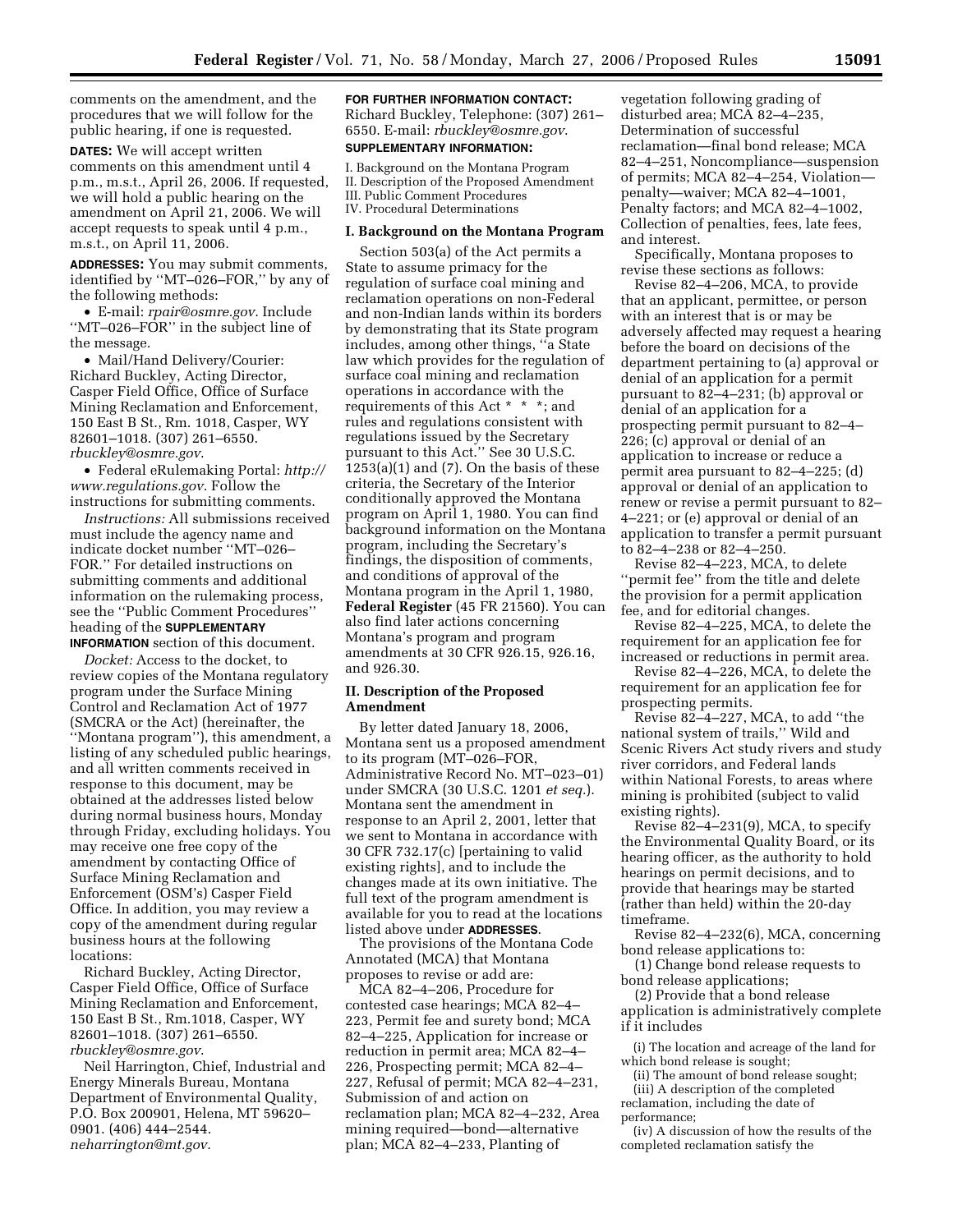comments on the amendment, and the procedures that we will follow for the public hearing, if one is requested.

**DATES:** We will accept written comments on this amendment until 4 p.m., m.s.t., April 26, 2006. If requested, we will hold a public hearing on the amendment on April 21, 2006. We will accept requests to speak until 4 p.m., m.s.t., on April 11, 2006.

**ADDRESSES:** You may submit comments, identified by ''MT–026–FOR,'' by any of the following methods:

• E-mail: *rpair@osmre.gov*. Include ''MT–026–FOR'' in the subject line of the message.

• Mail/Hand Delivery/Courier: Richard Buckley, Acting Director, Casper Field Office, Office of Surface Mining Reclamation and Enforcement, 150 East B St., Rm. 1018, Casper, WY 82601–1018. (307) 261–6550. *rbuckley@osmre.gov*.

• Federal eRulemaking Portal: *http:// www.regulations.gov*. Follow the instructions for submitting comments.

*Instructions:* All submissions received must include the agency name and indicate docket number ''MT–026– FOR.'' For detailed instructions on submitting comments and additional information on the rulemaking process, see the ''Public Comment Procedures'' heading of the **SUPPLEMENTARY INFORMATION** section of this document.

*Docket:* Access to the docket, to review copies of the Montana regulatory program under the Surface Mining Control and Reclamation Act of 1977 (SMCRA or the Act) (hereinafter, the ''Montana program''), this amendment, a listing of any scheduled public hearings, and all written comments received in response to this document, may be obtained at the addresses listed below during normal business hours, Monday through Friday, excluding holidays. You may receive one free copy of the amendment by contacting Office of Surface Mining Reclamation and Enforcement (OSM's) Casper Field Office. In addition, you may review a copy of the amendment during regular business hours at the following locations:

Richard Buckley, Acting Director, Casper Field Office, Office of Surface Mining Reclamation and Enforcement, 150 East B St., Rm.1018, Casper, WY 82601–1018. (307) 261–6550. *rbuckley@osmre.gov*.

Neil Harrington, Chief, Industrial and Energy Minerals Bureau, Montana Department of Environmental Quality, P.O. Box 200901, Helena, MT 59620– 0901. (406) 444–2544. *neharrington@mt.gov*.

**FOR FURTHER INFORMATION CONTACT:**  Richard Buckley, Telephone: (307) 261– 6550. E-mail: *rbuckley@osmre.gov*. **SUPPLEMENTARY INFORMATION:** 

I. Background on the Montana Program II. Description of the Proposed Amendment III. Public Comment Procedures IV. Procedural Determinations

#### **I. Background on the Montana Program**

Section 503(a) of the Act permits a State to assume primacy for the regulation of surface coal mining and reclamation operations on non-Federal and non-Indian lands within its borders by demonstrating that its State program includes, among other things, ''a State law which provides for the regulation of surface coal mining and reclamation operations in accordance with the requirements of this Act \* \* \*; and rules and regulations consistent with regulations issued by the Secretary pursuant to this Act.'' See 30 U.S.C.  $1253(a)(1)$  and  $(7)$ . On the basis of these criteria, the Secretary of the Interior conditionally approved the Montana program on April 1, 1980. You can find background information on the Montana program, including the Secretary's findings, the disposition of comments, and conditions of approval of the Montana program in the April 1, 1980, **Federal Register** (45 FR 21560). You can also find later actions concerning Montana's program and program amendments at 30 CFR 926.15, 926.16, and 926.30.

## **II. Description of the Proposed Amendment**

By letter dated January 18, 2006, Montana sent us a proposed amendment to its program (MT–026–FOR, Administrative Record No. MT–023–01) under SMCRA (30 U.S.C. 1201 *et seq.*). Montana sent the amendment in response to an April 2, 2001, letter that we sent to Montana in accordance with 30 CFR 732.17(c) [pertaining to valid existing rights], and to include the changes made at its own initiative. The full text of the program amendment is available for you to read at the locations listed above under **ADDRESSES**.

The provisions of the Montana Code Annotated (MCA) that Montana proposes to revise or add are:

MCA 82–4–206, Procedure for contested case hearings; MCA 82–4– 223, Permit fee and surety bond; MCA 82–4–225, Application for increase or reduction in permit area; MCA 82–4– 226, Prospecting permit; MCA 82–4– 227, Refusal of permit; MCA 82–4–231, Submission of and action on reclamation plan; MCA 82–4–232, Area mining required—bond—alternative plan; MCA 82–4–233, Planting of

vegetation following grading of disturbed area; MCA 82–4–235, Determination of successful reclamation—final bond release; MCA 82–4–251, Noncompliance—suspension of permits; MCA 82–4–254, Violation penalty—waiver; MCA 82–4–1001, Penalty factors; and MCA 82–4–1002, Collection of penalties, fees, late fees, and interest.

Specifically, Montana proposes to revise these sections as follows:

Revise 82–4–206, MCA, to provide that an applicant, permittee, or person with an interest that is or may be adversely affected may request a hearing before the board on decisions of the department pertaining to (a) approval or denial of an application for a permit pursuant to 82–4–231; (b) approval or denial of an application for a prospecting permit pursuant to 82–4– 226; (c) approval or denial of an application to increase or reduce a permit area pursuant to 82–4–225; (d) approval or denial of an application to renew or revise a permit pursuant to 82– 4–221; or (e) approval or denial of an application to transfer a permit pursuant to 82–4–238 or 82–4–250.

Revise 82–4–223, MCA, to delete ''permit fee'' from the title and delete the provision for a permit application fee, and for editorial changes.

Revise 82–4–225, MCA, to delete the requirement for an application fee for increased or reductions in permit area.

Revise 82–4–226, MCA, to delete the requirement for an application fee for prospecting permits.

Revise 82–4–227, MCA, to add ''the national system of trails,'' Wild and Scenic Rivers Act study rivers and study river corridors, and Federal lands within National Forests, to areas where mining is prohibited (subject to valid existing rights).

Revise  $82-4-231(9)$ , MCA, to specify the Environmental Quality Board, or its hearing officer, as the authority to hold hearings on permit decisions, and to provide that hearings may be started (rather than held) within the 20-day timeframe.

Revise 82–4–232(6), MCA, concerning bond release applications to:

(1) Change bond release requests to bond release applications;

(2) Provide that a bond release application is administratively complete

if it includes

(i) The location and acreage of the land for which bond release is sought;

(ii) The amount of bond release sought; (iii) A description of the completed reclamation, including the date of performance;

(iv) A discussion of how the results of the completed reclamation satisfy the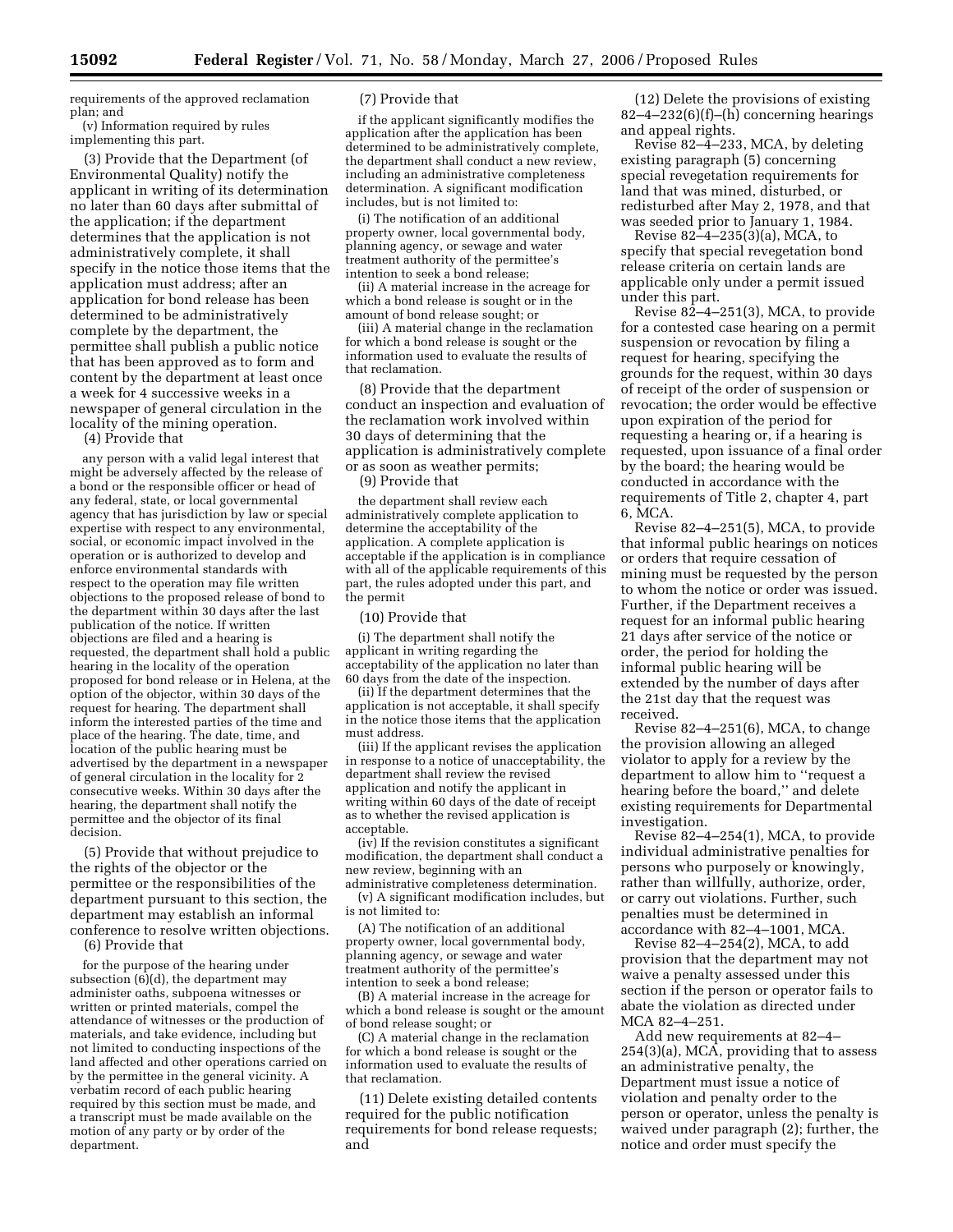requirements of the approved reclamation plan; and (v) Information required by rules

implementing this part.

(3) Provide that the Department (of Environmental Quality) notify the applicant in writing of its determination no later than 60 days after submittal of the application; if the department determines that the application is not administratively complete, it shall specify in the notice those items that the application must address; after an application for bond release has been determined to be administratively complete by the department, the permittee shall publish a public notice that has been approved as to form and content by the department at least once a week for 4 successive weeks in a newspaper of general circulation in the locality of the mining operation.

(4) Provide that

any person with a valid legal interest that might be adversely affected by the release of a bond or the responsible officer or head of any federal, state, or local governmental agency that has jurisdiction by law or special expertise with respect to any environmental, social, or economic impact involved in the operation or is authorized to develop and enforce environmental standards with respect to the operation may file written objections to the proposed release of bond to the department within 30 days after the last publication of the notice. If written objections are filed and a hearing is requested, the department shall hold a public hearing in the locality of the operation proposed for bond release or in Helena, at the option of the objector, within 30 days of the request for hearing. The department shall inform the interested parties of the time and place of the hearing. The date, time, and location of the public hearing must be advertised by the department in a newspaper of general circulation in the locality for 2 consecutive weeks. Within 30 days after the hearing, the department shall notify the permittee and the objector of its final decision.

(5) Provide that without prejudice to the rights of the objector or the permittee or the responsibilities of the department pursuant to this section, the department may establish an informal conference to resolve written objections.

(6) Provide that

for the purpose of the hearing under subsection (6)(d), the department may administer oaths, subpoena witnesses or written or printed materials, compel the attendance of witnesses or the production of materials, and take evidence, including but not limited to conducting inspections of the land affected and other operations carried on by the permittee in the general vicinity. A verbatim record of each public hearing required by this section must be made, and a transcript must be made available on the motion of any party or by order of the department.

#### (7) Provide that

if the applicant significantly modifies the application after the application has been determined to be administratively complete, the department shall conduct a new review, including an administrative completeness determination. A significant modification includes, but is not limited to:

(i) The notification of an additional property owner, local governmental body, planning agency, or sewage and water treatment authority of the permittee's intention to seek a bond release;

(ii) A material increase in the acreage for which a bond release is sought or in the amount of bond release sought; or

(iii) A material change in the reclamation for which a bond release is sought or the information used to evaluate the results of that reclamation.

(8) Provide that the department conduct an inspection and evaluation of the reclamation work involved within 30 days of determining that the application is administratively complete or as soon as weather permits;

(9) Provide that

the department shall review each administratively complete application to determine the acceptability of the application. A complete application is acceptable if the application is in compliance with all of the applicable requirements of this part, the rules adopted under this part, and the permit

(10) Provide that

(i) The department shall notify the applicant in writing regarding the acceptability of the application no later than 60 days from the date of the inspection.

(ii) If the department determines that the application is not acceptable, it shall specify in the notice those items that the application must address.

(iii) If the applicant revises the application in response to a notice of unacceptability, the department shall review the revised application and notify the applicant in writing within 60 days of the date of receipt as to whether the revised application is acceptable.

(iv) If the revision constitutes a significant modification, the department shall conduct a new review, beginning with an

administrative completeness determination. (v) A significant modification includes, but is not limited to:

(A) The notification of an additional property owner, local governmental body, planning agency, or sewage and water treatment authority of the permittee's intention to seek a bond release;

(B) A material increase in the acreage for which a bond release is sought or the amount of bond release sought; or

(C) A material change in the reclamation for which a bond release is sought or the information used to evaluate the results of that reclamation.

(11) Delete existing detailed contents required for the public notification requirements for bond release requests; and

(12) Delete the provisions of existing  $82-4-232(6)(f)$ –(h) concerning hearings and appeal rights.

Revise 82–4–233, MCA, by deleting existing paragraph (5) concerning special revegetation requirements for land that was mined, disturbed, or redisturbed after May 2, 1978, and that was seeded prior to January 1, 1984.

Revise 82–4–235(3)(a), MCA, to specify that special revegetation bond release criteria on certain lands are applicable only under a permit issued under this part.

Revise 82–4–251(3), MCA, to provide for a contested case hearing on a permit suspension or revocation by filing a request for hearing, specifying the grounds for the request, within 30 days of receipt of the order of suspension or revocation; the order would be effective upon expiration of the period for requesting a hearing or, if a hearing is requested, upon issuance of a final order by the board; the hearing would be conducted in accordance with the requirements of Title 2, chapter 4, part 6, MCA.

Revise 82–4–251(5), MCA, to provide that informal public hearings on notices or orders that require cessation of mining must be requested by the person to whom the notice or order was issued. Further, if the Department receives a request for an informal public hearing 21 days after service of the notice or order, the period for holding the informal public hearing will be extended by the number of days after the 21st day that the request was received.

Revise 82–4–251(6), MCA, to change the provision allowing an alleged violator to apply for a review by the department to allow him to ''request a hearing before the board,'' and delete existing requirements for Departmental investigation.

Revise 82–4–254(1), MCA, to provide individual administrative penalties for persons who purposely or knowingly, rather than willfully, authorize, order, or carry out violations. Further, such penalties must be determined in accordance with 82–4–1001, MCA.

Revise 82–4–254(2), MCA, to add provision that the department may not waive a penalty assessed under this section if the person or operator fails to abate the violation as directed under MCA 82–4–251.

Add new requirements at 82–4– 254(3)(a), MCA, providing that to assess an administrative penalty, the Department must issue a notice of violation and penalty order to the person or operator, unless the penalty is waived under paragraph (2); further, the notice and order must specify the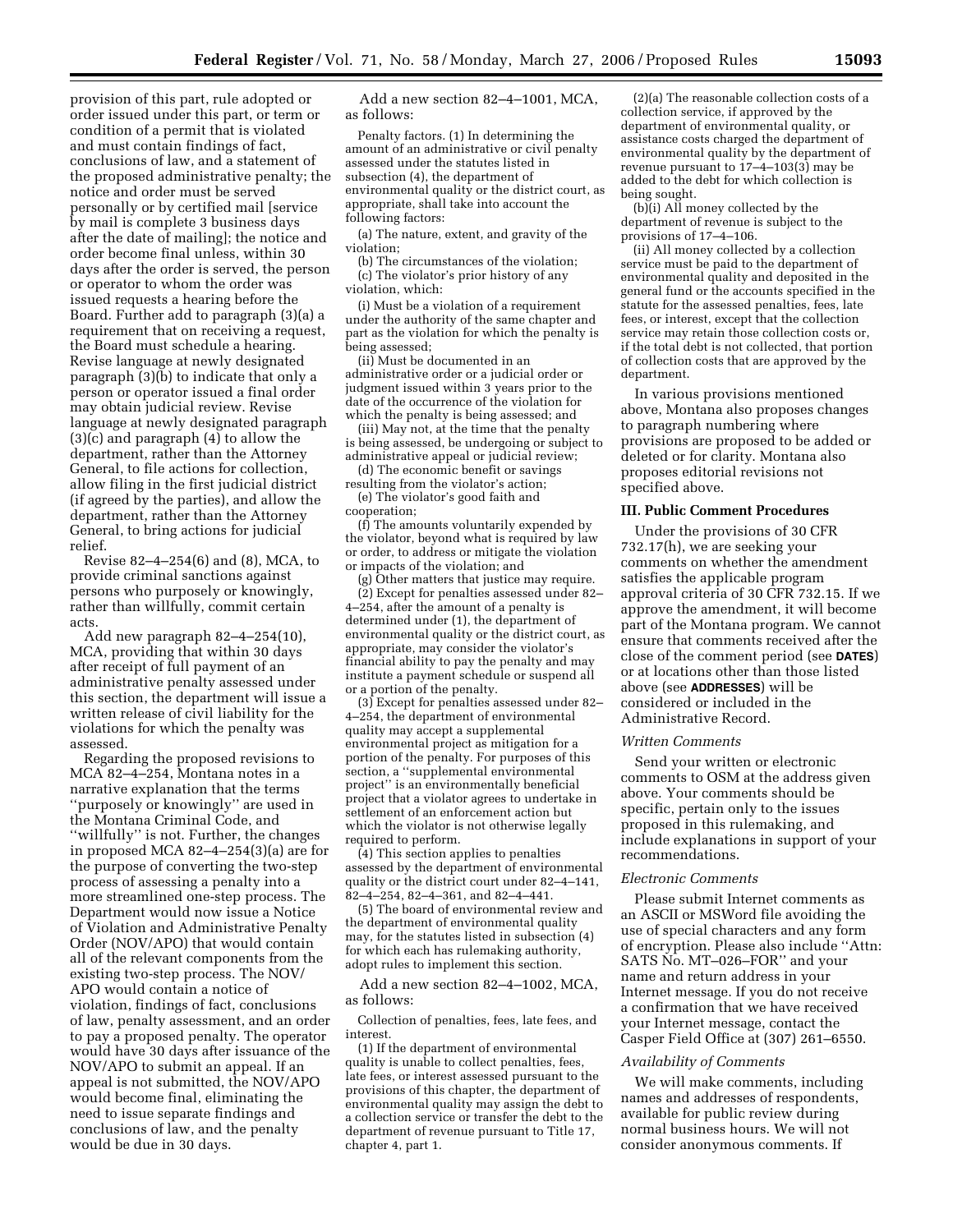provision of this part, rule adopted or order issued under this part, or term or condition of a permit that is violated and must contain findings of fact, conclusions of law, and a statement of the proposed administrative penalty; the notice and order must be served personally or by certified mail [service by mail is complete 3 business days after the date of mailing]; the notice and order become final unless, within 30 days after the order is served, the person or operator to whom the order was issued requests a hearing before the Board. Further add to paragraph (3)(a) a requirement that on receiving a request, the Board must schedule a hearing. Revise language at newly designated paragraph (3)(b) to indicate that only a person or operator issued a final order may obtain judicial review. Revise language at newly designated paragraph (3)(c) and paragraph (4) to allow the department, rather than the Attorney General, to file actions for collection, allow filing in the first judicial district (if agreed by the parties), and allow the department, rather than the Attorney General, to bring actions for judicial relief.

Revise 82–4–254(6) and (8), MCA, to provide criminal sanctions against persons who purposely or knowingly, rather than willfully, commit certain acts.

Add new paragraph 82–4–254(10), MCA, providing that within 30 days after receipt of full payment of an administrative penalty assessed under this section, the department will issue a written release of civil liability for the violations for which the penalty was assessed.

Regarding the proposed revisions to MCA 82–4–254, Montana notes in a narrative explanation that the terms ''purposely or knowingly'' are used in the Montana Criminal Code, and ''willfully'' is not. Further, the changes in proposed MCA 82–4–254(3)(a) are for the purpose of converting the two-step process of assessing a penalty into a more streamlined one-step process. The Department would now issue a Notice of Violation and Administrative Penalty Order (NOV/APO) that would contain all of the relevant components from the existing two-step process. The NOV/ APO would contain a notice of violation, findings of fact, conclusions of law, penalty assessment, and an order to pay a proposed penalty. The operator would have 30 days after issuance of the NOV/APO to submit an appeal. If an appeal is not submitted, the NOV/APO would become final, eliminating the need to issue separate findings and conclusions of law, and the penalty would be due in 30 days.

Add a new section 82–4–1001, MCA, as follows:

Penalty factors. (1) In determining the amount of an administrative or civil penalty assessed under the statutes listed in subsection (4), the department of environmental quality or the district court, as appropriate, shall take into account the following factors:

(a) The nature, extent, and gravity of the violation;

(b) The circumstances of the violation; (c) The violator's prior history of any violation, which:

(i) Must be a violation of a requirement under the authority of the same chapter and part as the violation for which the penalty is being assessed;

(ii) Must be documented in an administrative order or a judicial order or judgment issued within 3 years prior to the date of the occurrence of the violation for which the penalty is being assessed; and

(iii) May not, at the time that the penalty is being assessed, be undergoing or subject to administrative appeal or judicial review;

(d) The economic benefit or savings resulting from the violator's action;

(e) The violator's good faith and cooperation;

(f) The amounts voluntarily expended by the violator, beyond what is required by law or order, to address or mitigate the violation or impacts of the violation; and

(g) Other matters that justice may require. (2) Except for penalties assessed under 82– 4–254, after the amount of a penalty is determined under (1), the department of environmental quality or the district court, as appropriate, may consider the violator's financial ability to pay the penalty and may institute a payment schedule or suspend all or a portion of the penalty.

(3) Except for penalties assessed under 82– 4–254, the department of environmental quality may accept a supplemental environmental project as mitigation for a portion of the penalty. For purposes of this section, a ''supplemental environmental project'' is an environmentally beneficial project that a violator agrees to undertake in settlement of an enforcement action but which the violator is not otherwise legally required to perform.

(4) This section applies to penalties assessed by the department of environmental quality or the district court under 82–4–141, 82–4–254, 82–4–361, and 82–4–441.

(5) The board of environmental review and the department of environmental quality may, for the statutes listed in subsection (4) for which each has rulemaking authority, adopt rules to implement this section.

Add a new section 82–4–1002, MCA, as follows:

Collection of penalties, fees, late fees, and interest.

(1) If the department of environmental quality is unable to collect penalties, fees, late fees, or interest assessed pursuant to the provisions of this chapter, the department of environmental quality may assign the debt to a collection service or transfer the debt to the department of revenue pursuant to Title 17, chapter 4, part 1.

(2)(a) The reasonable collection costs of a collection service, if approved by the department of environmental quality, or assistance costs charged the department of environmental quality by the department of revenue pursuant to 17–4–103(3) may be added to the debt for which collection is being sought.

(b)(i) All money collected by the department of revenue is subject to the provisions of 17–4–106.

(ii) All money collected by a collection service must be paid to the department of environmental quality and deposited in the general fund or the accounts specified in the statute for the assessed penalties, fees, late fees, or interest, except that the collection service may retain those collection costs or, if the total debt is not collected, that portion of collection costs that are approved by the department.

In various provisions mentioned above, Montana also proposes changes to paragraph numbering where provisions are proposed to be added or deleted or for clarity. Montana also proposes editorial revisions not specified above.

## **III. Public Comment Procedures**

Under the provisions of 30 CFR 732.17(h), we are seeking your comments on whether the amendment satisfies the applicable program approval criteria of 30 CFR 732.15. If we approve the amendment, it will become part of the Montana program. We cannot ensure that comments received after the close of the comment period (see **DATES**) or at locations other than those listed above (see **ADDRESSES**) will be considered or included in the Administrative Record.

#### *Written Comments*

Send your written or electronic comments to OSM at the address given above. Your comments should be specific, pertain only to the issues proposed in this rulemaking, and include explanations in support of your recommendations.

#### *Electronic Comments*

Please submit Internet comments as an ASCII or MSWord file avoiding the use of special characters and any form of encryption. Please also include ''Attn: SATS No. MT–026–FOR'' and your name and return address in your Internet message. If you do not receive a confirmation that we have received your Internet message, contact the Casper Field Office at (307) 261–6550.

#### *Availability of Comments*

We will make comments, including names and addresses of respondents, available for public review during normal business hours. We will not consider anonymous comments. If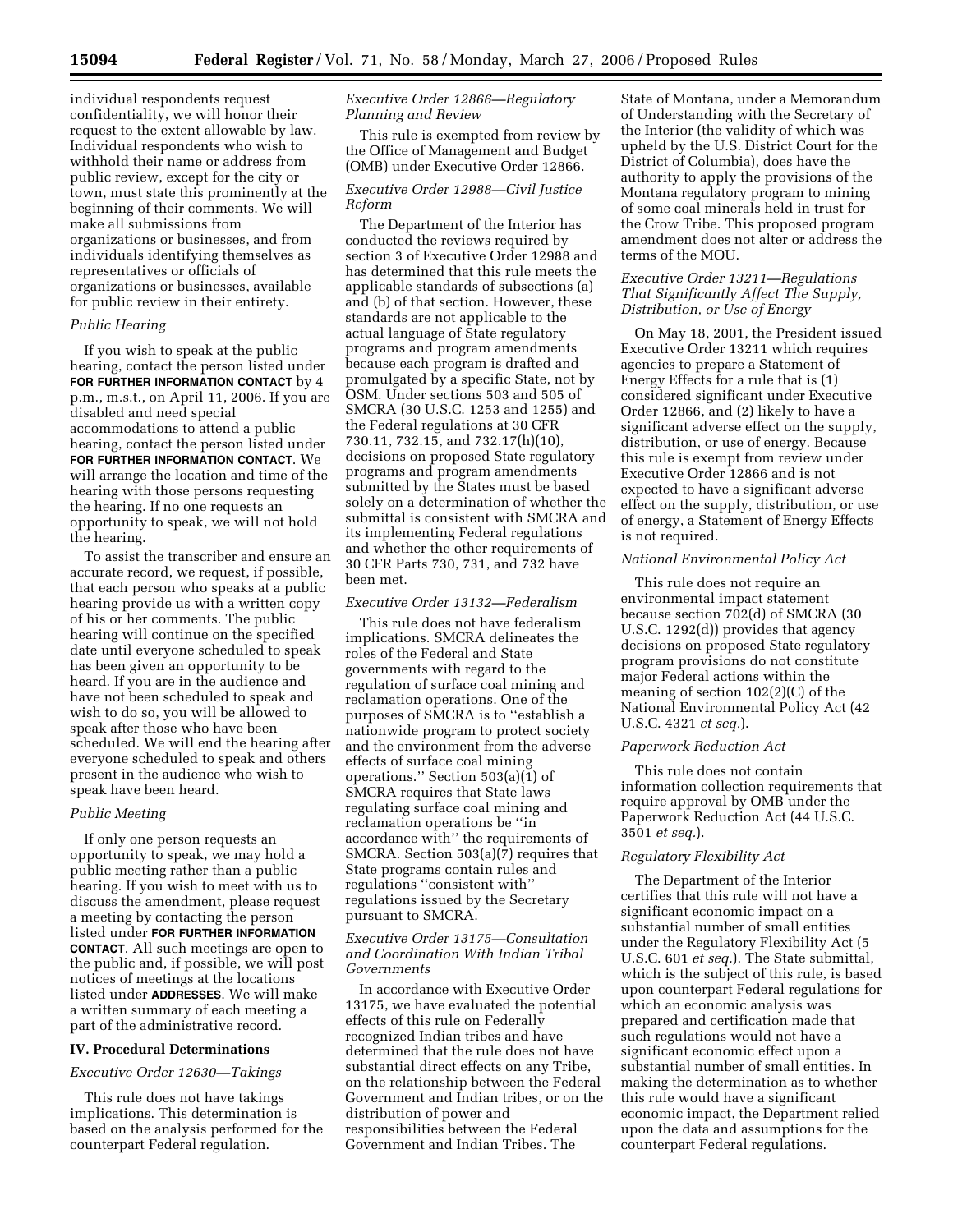individual respondents request confidentiality, we will honor their request to the extent allowable by law. Individual respondents who wish to withhold their name or address from public review, except for the city or town, must state this prominently at the beginning of their comments. We will make all submissions from organizations or businesses, and from individuals identifying themselves as representatives or officials of organizations or businesses, available for public review in their entirety.

## *Public Hearing*

If you wish to speak at the public hearing, contact the person listed under **FOR FURTHER INFORMATION CONTACT** by 4 p.m., m.s.t., on April 11, 2006. If you are disabled and need special accommodations to attend a public hearing, contact the person listed under **FOR FURTHER INFORMATION CONTACT**. We will arrange the location and time of the hearing with those persons requesting the hearing. If no one requests an opportunity to speak, we will not hold the hearing.

To assist the transcriber and ensure an accurate record, we request, if possible, that each person who speaks at a public hearing provide us with a written copy of his or her comments. The public hearing will continue on the specified date until everyone scheduled to speak has been given an opportunity to be heard. If you are in the audience and have not been scheduled to speak and wish to do so, you will be allowed to speak after those who have been scheduled. We will end the hearing after everyone scheduled to speak and others present in the audience who wish to speak have been heard.

# *Public Meeting*

If only one person requests an opportunity to speak, we may hold a public meeting rather than a public hearing. If you wish to meet with us to discuss the amendment, please request a meeting by contacting the person listed under **FOR FURTHER INFORMATION CONTACT**. All such meetings are open to the public and, if possible, we will post notices of meetings at the locations listed under **ADDRESSES**. We will make a written summary of each meeting a part of the administrative record.

### **IV. Procedural Determinations**

### *Executive Order 12630—Takings*

This rule does not have takings implications. This determination is based on the analysis performed for the counterpart Federal regulation.

# *Executive Order 12866—Regulatory Planning and Review*

This rule is exempted from review by the Office of Management and Budget (OMB) under Executive Order 12866.

## *Executive Order 12988—Civil Justice Reform*

The Department of the Interior has conducted the reviews required by section 3 of Executive Order 12988 and has determined that this rule meets the applicable standards of subsections (a) and (b) of that section. However, these standards are not applicable to the actual language of State regulatory programs and program amendments because each program is drafted and promulgated by a specific State, not by OSM. Under sections 503 and 505 of SMCRA (30 U.S.C. 1253 and 1255) and the Federal regulations at 30 CFR 730.11, 732.15, and 732.17(h)(10), decisions on proposed State regulatory programs and program amendments submitted by the States must be based solely on a determination of whether the submittal is consistent with SMCRA and its implementing Federal regulations and whether the other requirements of 30 CFR Parts 730, 731, and 732 have been met.

# *Executive Order 13132—Federalism*

This rule does not have federalism implications. SMCRA delineates the roles of the Federal and State governments with regard to the regulation of surface coal mining and reclamation operations. One of the purposes of SMCRA is to ''establish a nationwide program to protect society and the environment from the adverse effects of surface coal mining operations.'' Section 503(a)(1) of SMCRA requires that State laws regulating surface coal mining and reclamation operations be ''in accordance with'' the requirements of SMCRA. Section 503(a)(7) requires that State programs contain rules and regulations ''consistent with'' regulations issued by the Secretary pursuant to SMCRA.

### *Executive Order 13175—Consultation and Coordination With Indian Tribal Governments*

In accordance with Executive Order 13175, we have evaluated the potential effects of this rule on Federally recognized Indian tribes and have determined that the rule does not have substantial direct effects on any Tribe, on the relationship between the Federal Government and Indian tribes, or on the distribution of power and responsibilities between the Federal Government and Indian Tribes. The

State of Montana, under a Memorandum of Understanding with the Secretary of the Interior (the validity of which was upheld by the U.S. District Court for the District of Columbia), does have the authority to apply the provisions of the Montana regulatory program to mining of some coal minerals held in trust for the Crow Tribe. This proposed program amendment does not alter or address the terms of the MOU.

## *Executive Order 13211—Regulations That Significantly Affect The Supply, Distribution, or Use of Energy*

On May 18, 2001, the President issued Executive Order 13211 which requires agencies to prepare a Statement of Energy Effects for a rule that is (1) considered significant under Executive Order 12866, and (2) likely to have a significant adverse effect on the supply, distribution, or use of energy. Because this rule is exempt from review under Executive Order 12866 and is not expected to have a significant adverse effect on the supply, distribution, or use of energy, a Statement of Energy Effects is not required.

## *National Environmental Policy Act*

This rule does not require an environmental impact statement because section 702(d) of SMCRA (30 U.S.C. 1292(d)) provides that agency decisions on proposed State regulatory program provisions do not constitute major Federal actions within the meaning of section 102(2)(C) of the National Environmental Policy Act (42 U.S.C. 4321 *et seq.*).

### *Paperwork Reduction Act*

This rule does not contain information collection requirements that require approval by OMB under the Paperwork Reduction Act (44 U.S.C. 3501 *et seq.*).

### *Regulatory Flexibility Act*

The Department of the Interior certifies that this rule will not have a significant economic impact on a substantial number of small entities under the Regulatory Flexibility Act (5 U.S.C. 601 *et seq.*). The State submittal, which is the subject of this rule, is based upon counterpart Federal regulations for which an economic analysis was prepared and certification made that such regulations would not have a significant economic effect upon a substantial number of small entities. In making the determination as to whether this rule would have a significant economic impact, the Department relied upon the data and assumptions for the counterpart Federal regulations.